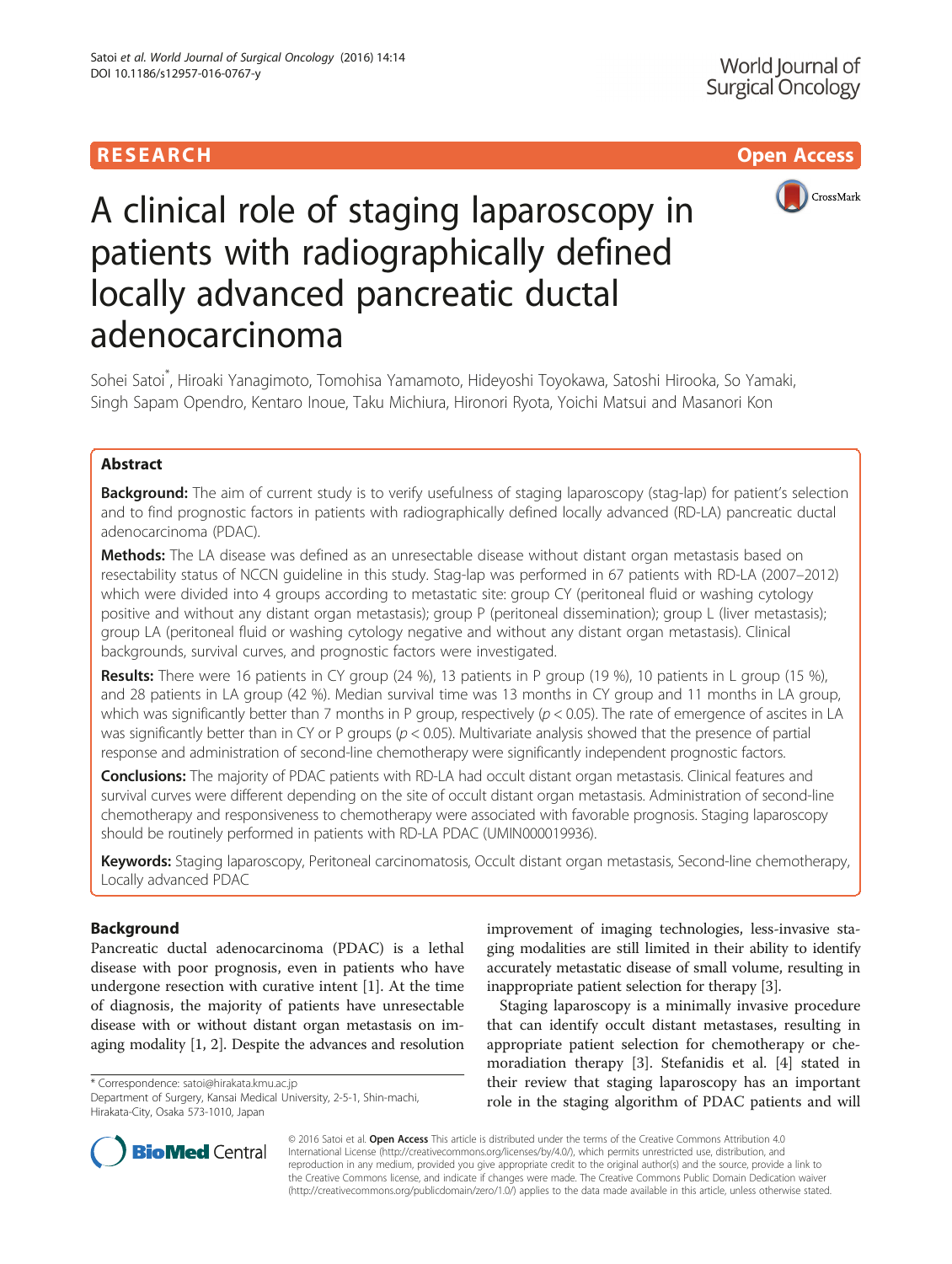# **RESEARCH CHILD CONTROL** CONTROL CONTROL CONTROL CONTROL CONTROL CONTROL CONTROL CONTROL CONTROL CONTROL CONTROL



# A clinical role of staging laparoscopy in patients with radiographically defined locally advanced pancreatic ductal adenocarcinoma

Sohei Satoi\* , Hiroaki Yanagimoto, Tomohisa Yamamoto, Hideyoshi Toyokawa, Satoshi Hirooka, So Yamaki, Singh Sapam Opendro, Kentaro Inoue, Taku Michiura, Hironori Ryota, Yoichi Matsui and Masanori Kon

## Abstract

**Background:** The aim of current study is to verify usefulness of staging laparoscopy (stag-lap) for patient's selection and to find prognostic factors in patients with radiographically defined locally advanced (RD-LA) pancreatic ductal adenocarcinoma (PDAC).

Methods: The LA disease was defined as an unresectable disease without distant organ metastasis based on resectability status of NCCN guideline in this study. Stag-lap was performed in 67 patients with RD-LA (2007–2012) which were divided into 4 groups according to metastatic site: group CY (peritoneal fluid or washing cytology positive and without any distant organ metastasis); group P (peritoneal dissemination); group L (liver metastasis); group LA (peritoneal fluid or washing cytology negative and without any distant organ metastasis). Clinical backgrounds, survival curves, and prognostic factors were investigated.

Results: There were 16 patients in CY group (24 %), 13 patients in P group (19 %), 10 patients in L group (15 %), and 28 patients in LA group (42 %). Median survival time was 13 months in CY group and 11 months in LA group, which was significantly better than 7 months in P group, respectively  $(p < 0.05)$ . The rate of emergence of ascites in LA was significantly better than in CY or P groups ( $p < 0.05$ ). Multivariate analysis showed that the presence of partial response and administration of second-line chemotherapy were significantly independent prognostic factors.

Conclusions: The majority of PDAC patients with RD-LA had occult distant organ metastasis. Clinical features and survival curves were different depending on the site of occult distant organ metastasis. Administration of second-line chemotherapy and responsiveness to chemotherapy were associated with favorable prognosis. Staging laparoscopy should be routinely performed in patients with RD-LA PDAC (UMIN000019936).

Keywords: Staging laparoscopy, Peritoneal carcinomatosis, Occult distant organ metastasis, Second-line chemotherapy, Locally advanced PDAC

#### Background

Pancreatic ductal adenocarcinoma (PDAC) is a lethal disease with poor prognosis, even in patients who have undergone resection with curative intent [[1\]](#page-6-0). At the time of diagnosis, the majority of patients have unresectable disease with or without distant organ metastasis on imaging modality [\[1, 2\]](#page-6-0). Despite the advances and resolution

\* Correspondence: [satoi@hirakata.kmu.ac.jp](mailto:satoi@hirakata.kmu.ac.jp)

Department of Surgery, Kansai Medical University, 2-5-1, Shin-machi, Hirakata-City, Osaka 573-1010, Japan

improvement of imaging technologies, less-invasive staging modalities are still limited in their ability to identify accurately metastatic disease of small volume, resulting in inappropriate patient selection for therapy [\[3](#page-6-0)].

Staging laparoscopy is a minimally invasive procedure that can identify occult distant metastases, resulting in appropriate patient selection for chemotherapy or chemoradiation therapy [\[3](#page-6-0)]. Stefanidis et al. [\[4](#page-6-0)] stated in their review that staging laparoscopy has an important role in the staging algorithm of PDAC patients and will



© 2016 Satoi et al. Open Access This article is distributed under the terms of the Creative Commons Attribution 4.0 International License [\(http://creativecommons.org/licenses/by/4.0/](http://creativecommons.org/licenses/by/4.0/)), which permits unrestricted use, distribution, and reproduction in any medium, provided you give appropriate credit to the original author(s) and the source, provide a link to the Creative Commons license, and indicate if changes were made. The Creative Commons Public Domain Dedication waiver [\(http://creativecommons.org/publicdomain/zero/1.0/](http://creativecommons.org/publicdomain/zero/1.0/)) applies to the data made available in this article, unless otherwise stated.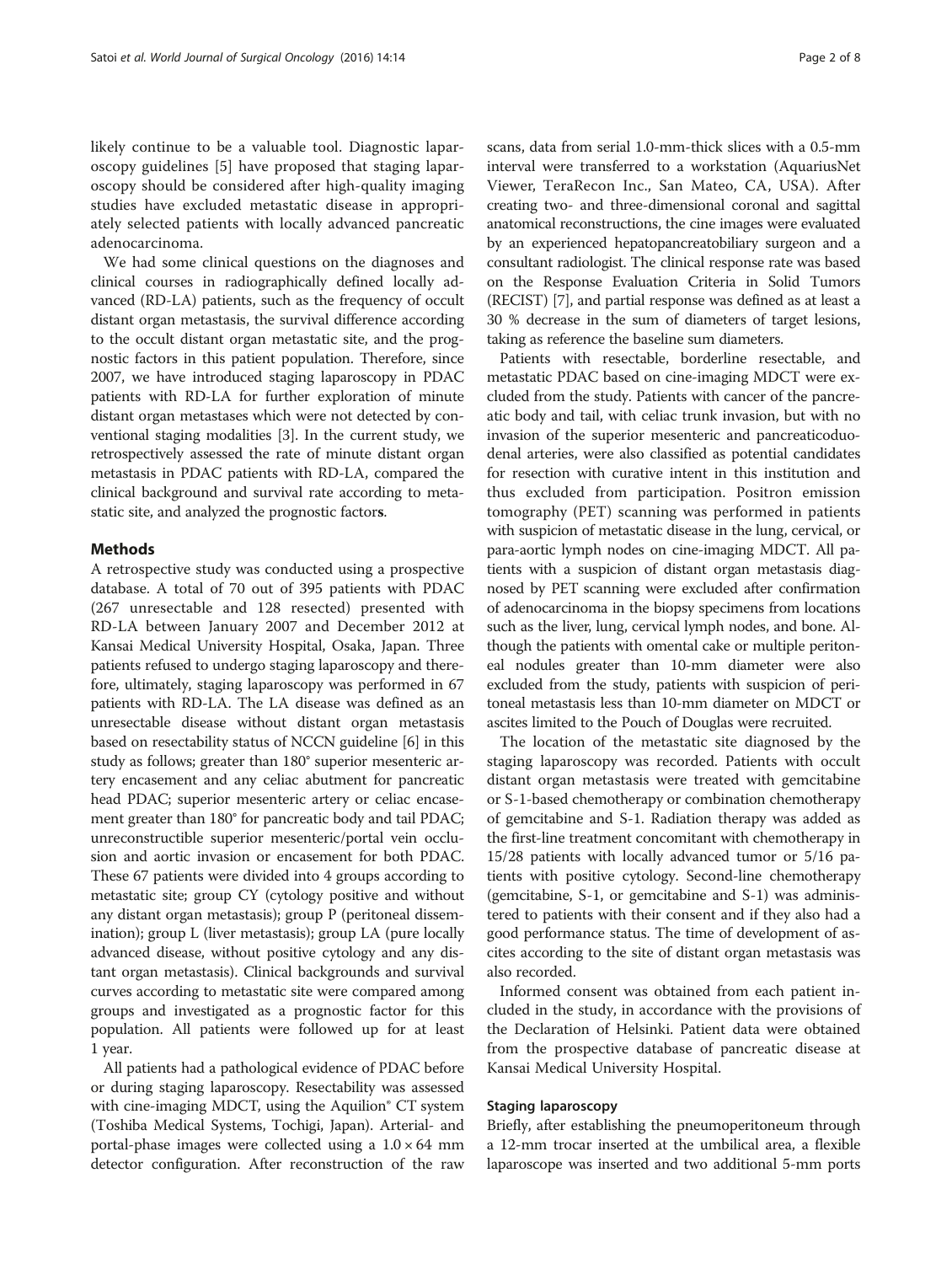likely continue to be a valuable tool. Diagnostic laparoscopy guidelines [\[5](#page-6-0)] have proposed that staging laparoscopy should be considered after high-quality imaging studies have excluded metastatic disease in appropriately selected patients with locally advanced pancreatic adenocarcinoma.

We had some clinical questions on the diagnoses and clinical courses in radiographically defined locally advanced (RD-LA) patients, such as the frequency of occult distant organ metastasis, the survival difference according to the occult distant organ metastatic site, and the prognostic factors in this patient population. Therefore, since 2007, we have introduced staging laparoscopy in PDAC patients with RD-LA for further exploration of minute distant organ metastases which were not detected by conventional staging modalities [[3\]](#page-6-0). In the current study, we retrospectively assessed the rate of minute distant organ metastasis in PDAC patients with RD-LA, compared the clinical background and survival rate according to metastatic site, and analyzed the prognostic factors.

#### Methods

A retrospective study was conducted using a prospective database. A total of 70 out of 395 patients with PDAC (267 unresectable and 128 resected) presented with RD-LA between January 2007 and December 2012 at Kansai Medical University Hospital, Osaka, Japan. Three patients refused to undergo staging laparoscopy and therefore, ultimately, staging laparoscopy was performed in 67 patients with RD-LA. The LA disease was defined as an unresectable disease without distant organ metastasis based on resectability status of NCCN guideline [[6\]](#page-6-0) in this study as follows; greater than 180° superior mesenteric artery encasement and any celiac abutment for pancreatic head PDAC; superior mesenteric artery or celiac encasement greater than 180° for pancreatic body and tail PDAC; unreconstructible superior mesenteric/portal vein occlusion and aortic invasion or encasement for both PDAC. These 67 patients were divided into 4 groups according to metastatic site; group CY (cytology positive and without any distant organ metastasis); group P (peritoneal dissemination); group L (liver metastasis); group LA (pure locally advanced disease, without positive cytology and any distant organ metastasis). Clinical backgrounds and survival curves according to metastatic site were compared among groups and investigated as a prognostic factor for this population. All patients were followed up for at least 1 year.

All patients had a pathological evidence of PDAC before or during staging laparoscopy. Resectability was assessed with cine-imaging MDCT, using the Aquilion® CT system (Toshiba Medical Systems, Tochigi, Japan). Arterial- and portal-phase images were collected using a  $1.0 \times 64$  mm detector configuration. After reconstruction of the raw scans, data from serial 1.0-mm-thick slices with a 0.5-mm interval were transferred to a workstation (AquariusNet Viewer, TeraRecon Inc., San Mateo, CA, USA). After creating two- and three-dimensional coronal and sagittal anatomical reconstructions, the cine images were evaluated by an experienced hepatopancreatobiliary surgeon and a consultant radiologist. The clinical response rate was based on the Response Evaluation Criteria in Solid Tumors (RECIST) [[7\]](#page-6-0), and partial response was defined as at least a 30 % decrease in the sum of diameters of target lesions, taking as reference the baseline sum diameters.

Patients with resectable, borderline resectable, and metastatic PDAC based on cine-imaging MDCT were excluded from the study. Patients with cancer of the pancreatic body and tail, with celiac trunk invasion, but with no invasion of the superior mesenteric and pancreaticoduodenal arteries, were also classified as potential candidates for resection with curative intent in this institution and thus excluded from participation. Positron emission tomography (PET) scanning was performed in patients with suspicion of metastatic disease in the lung, cervical, or para-aortic lymph nodes on cine-imaging MDCT. All patients with a suspicion of distant organ metastasis diagnosed by PET scanning were excluded after confirmation of adenocarcinoma in the biopsy specimens from locations such as the liver, lung, cervical lymph nodes, and bone. Although the patients with omental cake or multiple peritoneal nodules greater than 10-mm diameter were also excluded from the study, patients with suspicion of peritoneal metastasis less than 10-mm diameter on MDCT or ascites limited to the Pouch of Douglas were recruited.

The location of the metastatic site diagnosed by the staging laparoscopy was recorded. Patients with occult distant organ metastasis were treated with gemcitabine or S-1-based chemotherapy or combination chemotherapy of gemcitabine and S-1. Radiation therapy was added as the first-line treatment concomitant with chemotherapy in 15/28 patients with locally advanced tumor or 5/16 patients with positive cytology. Second-line chemotherapy (gemcitabine, S-1, or gemcitabine and S-1) was administered to patients with their consent and if they also had a good performance status. The time of development of ascites according to the site of distant organ metastasis was also recorded.

Informed consent was obtained from each patient included in the study, in accordance with the provisions of the Declaration of Helsinki. Patient data were obtained from the prospective database of pancreatic disease at Kansai Medical University Hospital.

#### Staging laparoscopy

Briefly, after establishing the pneumoperitoneum through a 12-mm trocar inserted at the umbilical area, a flexible laparoscope was inserted and two additional 5-mm ports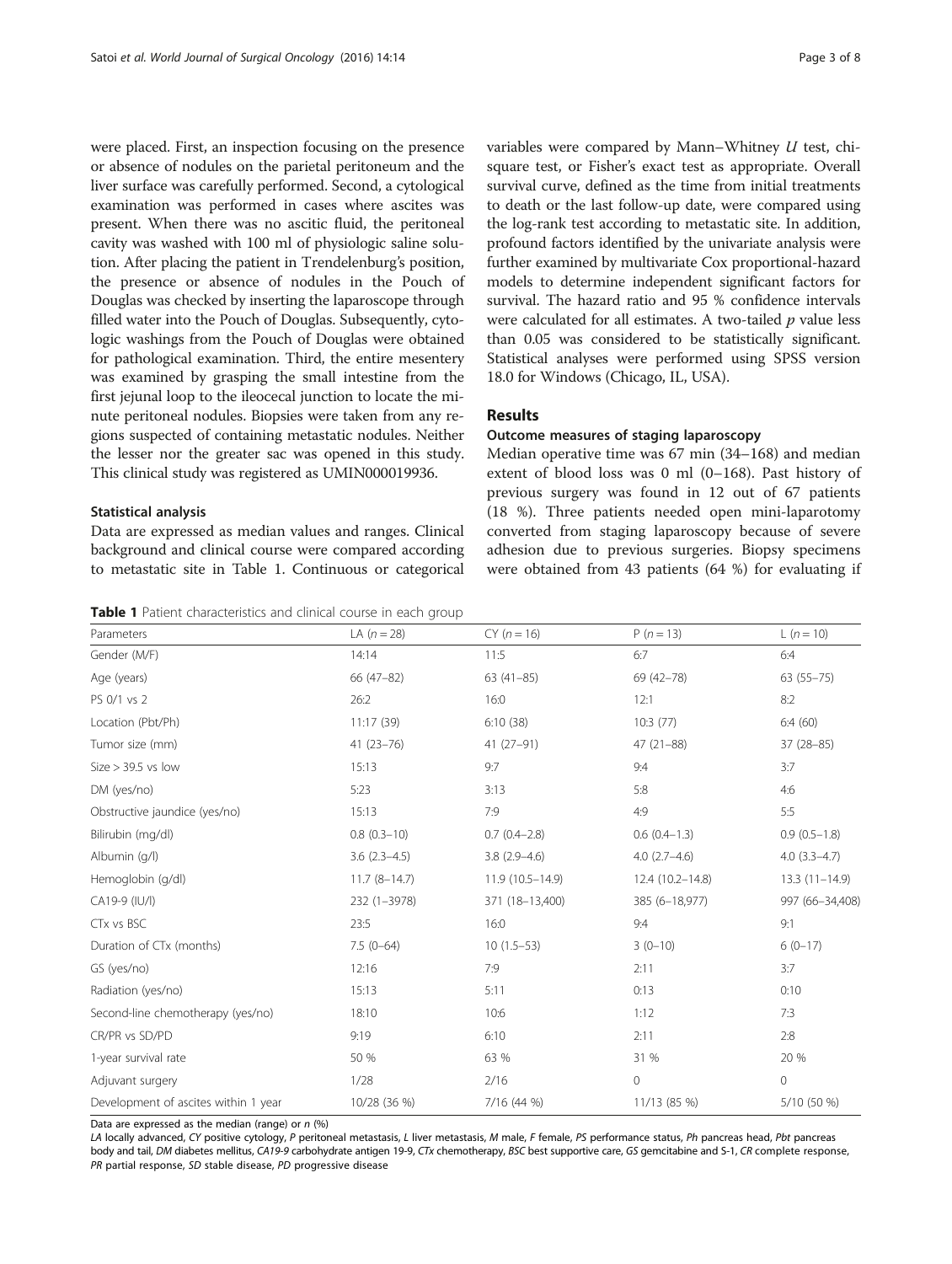<span id="page-2-0"></span>were placed. First, an inspection focusing on the presence or absence of nodules on the parietal peritoneum and the liver surface was carefully performed. Second, a cytological examination was performed in cases where ascites was present. When there was no ascitic fluid, the peritoneal cavity was washed with 100 ml of physiologic saline solution. After placing the patient in Trendelenburg's position, the presence or absence of nodules in the Pouch of Douglas was checked by inserting the laparoscope through filled water into the Pouch of Douglas. Subsequently, cytologic washings from the Pouch of Douglas were obtained for pathological examination. Third, the entire mesentery was examined by grasping the small intestine from the first jejunal loop to the ileocecal junction to locate the minute peritoneal nodules. Biopsies were taken from any regions suspected of containing metastatic nodules. Neither the lesser nor the greater sac was opened in this study. This clinical study was registered as UMIN000019936.

#### Statistical analysis

Data are expressed as median values and ranges. Clinical background and clinical course were compared according to metastatic site in Table 1. Continuous or categorical

Table 1 Patient characteristics and clinical course in each group

variables were compared by Mann–Whitney U test, chisquare test, or Fisher's exact test as appropriate. Overall survival curve, defined as the time from initial treatments to death or the last follow-up date, were compared using the log-rank test according to metastatic site. In addition, profound factors identified by the univariate analysis were further examined by multivariate Cox proportional-hazard models to determine independent significant factors for survival. The hazard ratio and 95 % confidence intervals were calculated for all estimates. A two-tailed  $p$  value less than 0.05 was considered to be statistically significant. Statistical analyses were performed using SPSS version 18.0 for Windows (Chicago, IL, USA).

#### Results

#### Outcome measures of staging laparoscopy

Median operative time was 67 min (34–168) and median extent of blood loss was 0 ml (0–168). Past history of previous surgery was found in 12 out of 67 patients (18 %). Three patients needed open mini-laparotomy converted from staging laparoscopy because of severe adhesion due to previous surgeries. Biopsy specimens were obtained from 43 patients (64 %) for evaluating if

| Parameters                           | LA $(n = 28)$  | $CY (n = 16)$       | $P(n = 13)$      | $\lfloor (n = 10) \rfloor$ |
|--------------------------------------|----------------|---------------------|------------------|----------------------------|
| Gender (M/F)                         | 14:14          | 11:5                | 6:7              | 6:4                        |
| Age (years)                          | 66 (47-82)     | $63(41-85)$         | 69 (42-78)       | $63(55 - 75)$              |
| PS 0/1 vs 2                          | 26:2           | 16:0                | 12:1             | 8:2                        |
| Location (Pbt/Ph)                    | 11:17(39)      | 6:10(38)            | 10:3(77)         | 6:4(60)                    |
| Tumor size (mm)                      | $41(23 - 76)$  | $41(27-91)$         | $47(21 - 88)$    | $37(28-85)$                |
| $Size > 39.5$ vs low                 | 15:13          | 9:7                 | 9:4              | 3:7                        |
| DM (yes/no)                          | 5:23           | 3:13                | 5:8              | 4:6                        |
| Obstructive jaundice (yes/no)        | 15:13          | 7:9                 | 4:9              | 5:5                        |
| Bilirubin (mg/dl)                    | $0.8(0.3-10)$  | $0.7(0.4-2.8)$      | $0.6(0.4-1.3)$   | $0.9(0.5-1.8)$             |
| Albumin (q/l)                        | $3.6(2.3-4.5)$ | $3.8(2.9 - 4.6)$    | $4.0(2.7-4.6)$   | $4.0(3.3-4.7)$             |
| Hemoglobin (g/dl)                    | $11.7(8-14.7)$ | $11.9(10.5 - 14.9)$ | 12.4 (10.2-14.8) | $13.3(11-14.9)$            |
| CA19-9 (IU/I)                        | 232 (1-3978)   | 371 (18-13,400)     | 385 (6-18,977)   | 997 (66-34,408)            |
| CTx vs BSC                           | 23:5           | 16:0                | 9:4              | 9:1                        |
| Duration of CTx (months)             | $7.5(0-64)$    | $10(1.5-53)$        | $3(0-10)$        | $6(0-17)$                  |
| GS (yes/no)                          | 12:16          | 7:9                 | 2:11             | 3:7                        |
| Radiation (yes/no)                   | 15:13          | 5:11                | 0:13             | 0:10                       |
| Second-line chemotherapy (yes/no)    | 18:10          | 10:6                | 1:12             | 7:3                        |
| CR/PR vs SD/PD                       | 9:19           | 6:10                | 2:11             | 2:8                        |
| 1-year survival rate                 | 50 %           | 63 %                | 31 %             | 20 %                       |
| Adjuvant surgery                     | 1/28           | 2/16                | 0                | $\circ$                    |
| Development of ascites within 1 year | 10/28 (36 %)   | 7/16 (44 %)         | 11/13 (85 %)     | 5/10 (50 %)                |

Data are expressed as the median (range) or  $n$  (%)

LA locally advanced, CY positive cytology, P peritoneal metastasis, L liver metastasis, M male, F female, PS performance status, Ph pancreas head, Pbt pancreas body and tail, DM diabetes mellitus, CA19-9 carbohydrate antigen 19-9, CTx chemotherapy, BSC best supportive care, GS gemcitabine and S-1, CR complete response, PR partial response, SD stable disease, PD progressive disease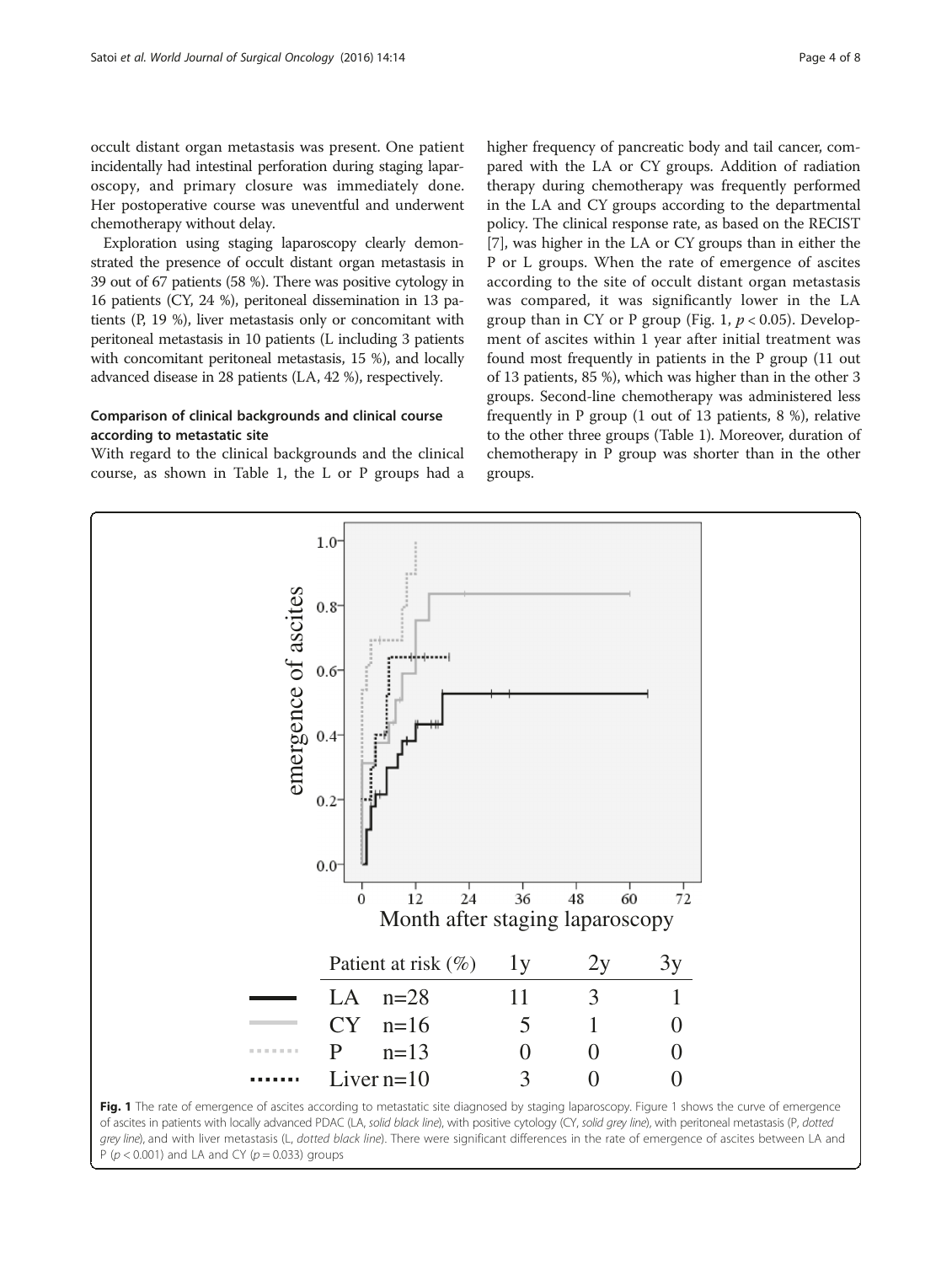<span id="page-3-0"></span>occult distant organ metastasis was present. One patient incidentally had intestinal perforation during staging laparoscopy, and primary closure was immediately done. Her postoperative course was uneventful and underwent chemotherapy without delay.

Exploration using staging laparoscopy clearly demonstrated the presence of occult distant organ metastasis in 39 out of 67 patients (58 %). There was positive cytology in 16 patients (CY, 24 %), peritoneal dissemination in 13 patients (P, 19 %), liver metastasis only or concomitant with peritoneal metastasis in 10 patients (L including 3 patients with concomitant peritoneal metastasis, 15 %), and locally advanced disease in 28 patients (LA, 42 %), respectively.

### Comparison of clinical backgrounds and clinical course according to metastatic site

With regard to the clinical backgrounds and the clinical course, as shown in Table [1,](#page-2-0) the L or P groups had a higher frequency of pancreatic body and tail cancer, compared with the LA or CY groups. Addition of radiation therapy during chemotherapy was frequently performed in the LA and CY groups according to the departmental policy. The clinical response rate, as based on the RECIST [[7\]](#page-6-0), was higher in the LA or CY groups than in either the P or L groups. When the rate of emergence of ascites according to the site of occult distant organ metastasis was compared, it was significantly lower in the LA group than in CY or P group (Fig. 1,  $p < 0.05$ ). Development of ascites within 1 year after initial treatment was found most frequently in patients in the P group (11 out of 13 patients, 85 %), which was higher than in the other 3 groups. Second-line chemotherapy was administered less frequently in P group (1 out of 13 patients, 8 %), relative to the other three groups (Table [1](#page-2-0)). Moreover, duration of chemotherapy in P group was shorter than in the other groups.



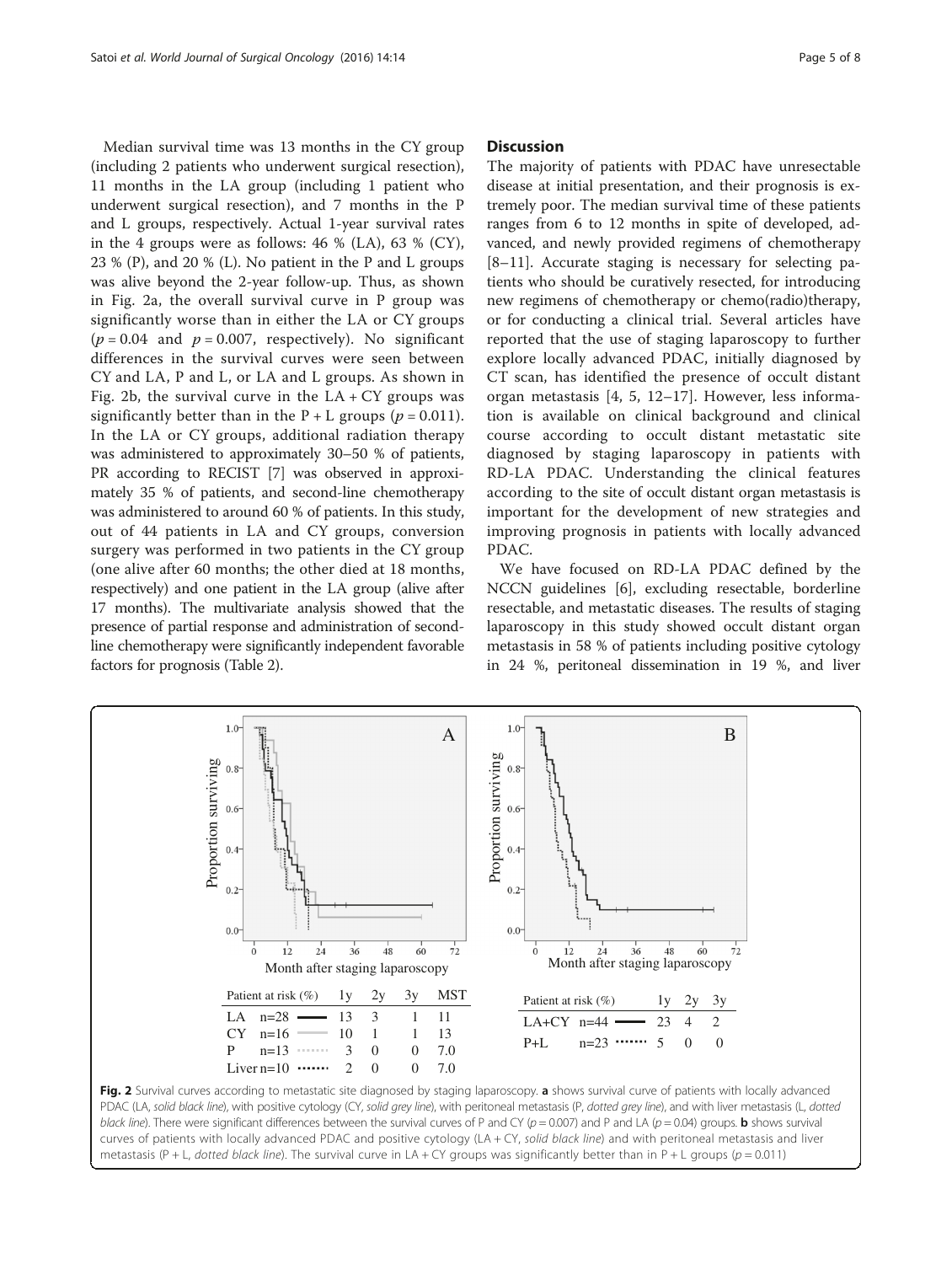Median survival time was 13 months in the CY group (including 2 patients who underwent surgical resection), 11 months in the LA group (including 1 patient who underwent surgical resection), and 7 months in the P and L groups, respectively. Actual 1-year survival rates in the 4 groups were as follows: 46 % (LA), 63 % (CY), 23 % (P), and 20 % (L). No patient in the P and L groups was alive beyond the 2-year follow-up. Thus, as shown in Fig. 2a, the overall survival curve in P group was significantly worse than in either the LA or CY groups  $(p = 0.04$  and  $p = 0.007$ , respectively). No significant differences in the survival curves were seen between CY and LA, P and L, or LA and L groups. As shown in Fig. 2b, the survival curve in the  $LA + CY$  groups was significantly better than in the  $P + L$  groups ( $p = 0.011$ ). In the LA or CY groups, additional radiation therapy was administered to approximately 30–50 % of patients, PR according to RECIST [[7](#page-6-0)] was observed in approximately 35 % of patients, and second-line chemotherapy was administered to around 60 % of patients. In this study, out of 44 patients in LA and CY groups, conversion surgery was performed in two patients in the CY group (one alive after 60 months; the other died at 18 months, respectively) and one patient in the LA group (alive after 17 months). The multivariate analysis showed that the presence of partial response and administration of secondline chemotherapy were significantly independent favorable factors for prognosis (Table [2](#page-5-0)).

#### **Discussion**

The majority of patients with PDAC have unresectable disease at initial presentation, and their prognosis is extremely poor. The median survival time of these patients ranges from 6 to 12 months in spite of developed, advanced, and newly provided regimens of chemotherapy [[8](#page-6-0)–[11\]](#page-6-0). Accurate staging is necessary for selecting patients who should be curatively resected, for introducing new regimens of chemotherapy or chemo(radio)therapy, or for conducting a clinical trial. Several articles have reported that the use of staging laparoscopy to further explore locally advanced PDAC, initially diagnosed by CT scan, has identified the presence of occult distant organ metastasis [[4](#page-6-0), [5, 12](#page-6-0)–[17\]](#page-6-0). However, less information is available on clinical background and clinical course according to occult distant metastatic site diagnosed by staging laparoscopy in patients with RD-LA PDAC. Understanding the clinical features according to the site of occult distant organ metastasis is important for the development of new strategies and improving prognosis in patients with locally advanced PDAC.

We have focused on RD-LA PDAC defined by the NCCN guidelines [[6\]](#page-6-0), excluding resectable, borderline resectable, and metastatic diseases. The results of staging laparoscopy in this study showed occult distant organ metastasis in 58 % of patients including positive cytology in 24 %, peritoneal dissemination in 19 %, and liver



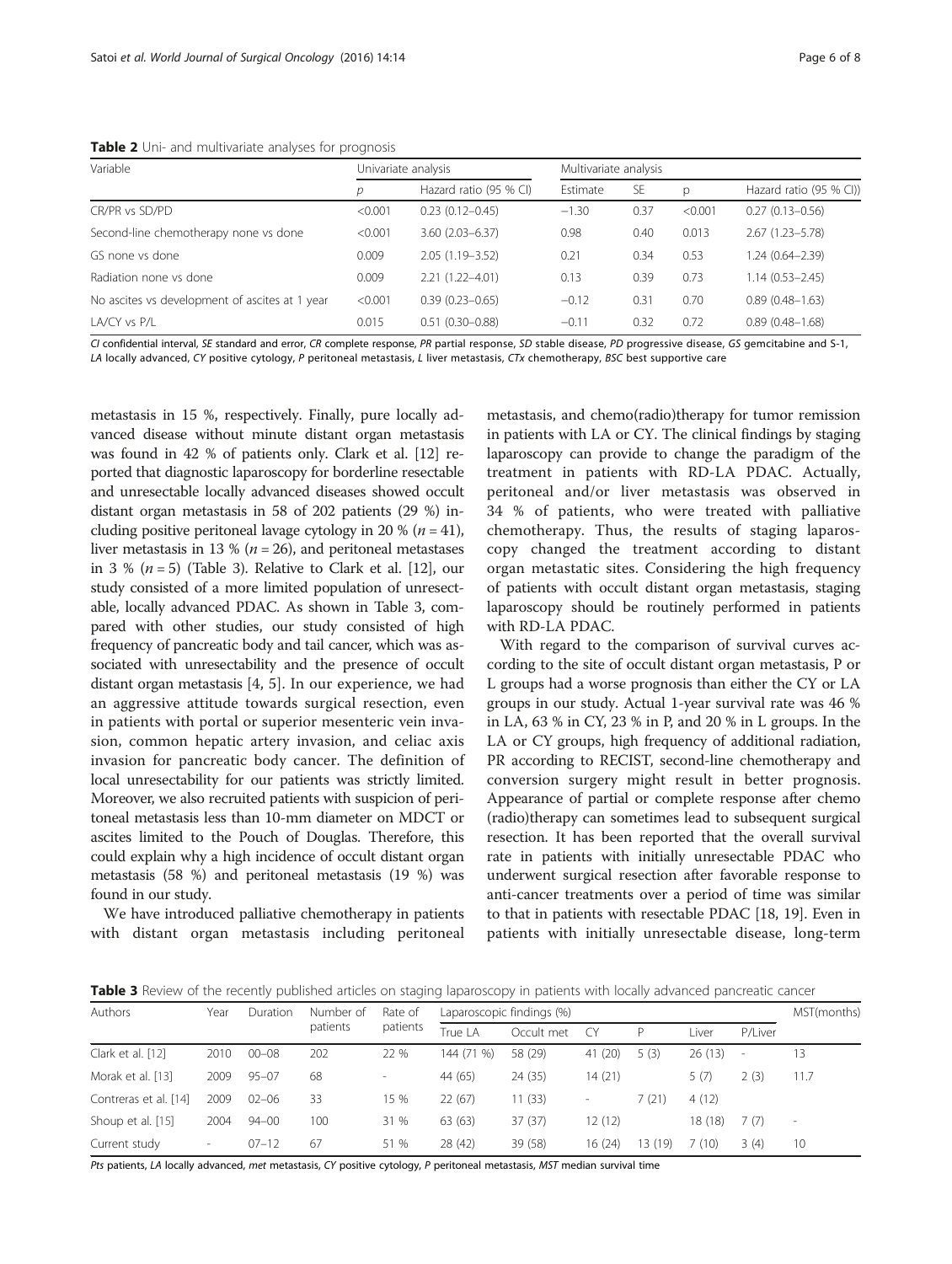<span id="page-5-0"></span>Table 2 Uni- and multivariate analyses for prognosis

| Variable                                       | Univariate analysis |                        | Multivariate analysis |           |         |                         |  |
|------------------------------------------------|---------------------|------------------------|-----------------------|-----------|---------|-------------------------|--|
|                                                | D                   | Hazard ratio (95 % CI) | Estimate              | <b>SE</b> | p       | Hazard ratio (95 % CI)) |  |
| CR/PR vs SD/PD                                 | < 0.001             | $0.23(0.12 - 0.45)$    | $-1.30$               | 0.37      | < 0.001 | $0.27(0.13 - 0.56)$     |  |
| Second-line chemotherapy none vs done          | < 0.001             | $3.60(2.03 - 6.37)$    | 0.98                  | 0.40      | 0.013   | $2.67(1.23 - 5.78)$     |  |
| GS none vs done                                | 0.009               | $2.05(1.19 - 3.52)$    | 0.21                  | 0.34      | 0.53    | 1.24 (0.64-2.39)        |  |
| Radiation none vs done                         | 0.009               | $2.21(1.22 - 4.01)$    | 0.13                  | 0.39      | 0.73    | $1.14(0.53 - 2.45)$     |  |
| No ascites vs development of ascites at 1 year | < 0.001             | $0.39(0.23 - 0.65)$    | $-0.12$               | 0.31      | 0.70    | $0.89(0.48 - 1.63)$     |  |
| LA/CY vs P/L                                   | 0.015               | $0.51(0.30 - 0.88)$    | $-0.11$               | 0.32      | 0.72    | $0.89(0.48 - 1.68)$     |  |

CI confidential interval, SE standard and error, CR complete response, PR partial response, SD stable disease, PD progressive disease, GS gemcitabine and S-1, LA locally advanced, CY positive cytology, P peritoneal metastasis, L liver metastasis, CTx chemotherapy, BSC best supportive care

metastasis in 15 %, respectively. Finally, pure locally advanced disease without minute distant organ metastasis was found in 42 % of patients only. Clark et al. [\[12\]](#page-6-0) reported that diagnostic laparoscopy for borderline resectable and unresectable locally advanced diseases showed occult distant organ metastasis in 58 of 202 patients (29 %) including positive peritoneal lavage cytology in 20 % ( $n = 41$ ), liver metastasis in 13 % ( $n = 26$ ), and peritoneal metastases in 3 % ( $n = 5$ ) (Table 3). Relative to Clark et al. [\[12\]](#page-6-0), our study consisted of a more limited population of unresectable, locally advanced PDAC. As shown in Table 3, compared with other studies, our study consisted of high frequency of pancreatic body and tail cancer, which was associated with unresectability and the presence of occult distant organ metastasis [[4, 5](#page-6-0)]. In our experience, we had an aggressive attitude towards surgical resection, even in patients with portal or superior mesenteric vein invasion, common hepatic artery invasion, and celiac axis invasion for pancreatic body cancer. The definition of local unresectability for our patients was strictly limited. Moreover, we also recruited patients with suspicion of peritoneal metastasis less than 10-mm diameter on MDCT or ascites limited to the Pouch of Douglas. Therefore, this could explain why a high incidence of occult distant organ metastasis (58 %) and peritoneal metastasis (19 %) was found in our study.

We have introduced palliative chemotherapy in patients with distant organ metastasis including peritoneal

metastasis, and chemo(radio)therapy for tumor remission in patients with LA or CY. The clinical findings by staging laparoscopy can provide to change the paradigm of the treatment in patients with RD-LA PDAC. Actually, peritoneal and/or liver metastasis was observed in 34 % of patients, who were treated with palliative chemotherapy. Thus, the results of staging laparoscopy changed the treatment according to distant organ metastatic sites. Considering the high frequency of patients with occult distant organ metastasis, staging laparoscopy should be routinely performed in patients with RD-LA PDAC.

With regard to the comparison of survival curves according to the site of occult distant organ metastasis, P or L groups had a worse prognosis than either the CY or LA groups in our study. Actual 1-year survival rate was 46 % in LA, 63 % in CY, 23 % in P, and 20 % in L groups. In the LA or CY groups, high frequency of additional radiation, PR according to RECIST, second-line chemotherapy and conversion surgery might result in better prognosis. Appearance of partial or complete response after chemo (radio)therapy can sometimes lead to subsequent surgical resection. It has been reported that the overall survival rate in patients with initially unresectable PDAC who underwent surgical resection after favorable response to anti-cancer treatments over a period of time was similar to that in patients with resectable PDAC [[18](#page-7-0), [19](#page-7-0)]. Even in patients with initially unresectable disease, long-term

Table 3 Review of the recently published articles on staging laparoscopy in patients with locally advanced pancreatic cancer

| <b>Authors</b>        | Year                     | Duration  | Number of<br>patients | Rate of<br>patients      | Laparoscopic findings (%) |            |                          |         |        | MST(months) |                          |
|-----------------------|--------------------------|-----------|-----------------------|--------------------------|---------------------------|------------|--------------------------|---------|--------|-------------|--------------------------|
|                       |                          |           |                       |                          | True LA                   | Occult met | CY.                      | P       | Liver  | P/Liver     |                          |
| Clark et al. [12]     | 2010                     | $00 - 08$ | 202                   | 22 %                     | 144 (71 %)                | 58 (29)    | 41 (20)                  | 5(3)    | 26(13) | ۰           | 13                       |
| Morak et al. [13]     | 2009                     | $95 - 07$ | 68                    | $\overline{\phantom{a}}$ | 44 (65)                   | 24 (35)    | 14 (21)                  |         | 5(7)   | 2(3)        | 11.7                     |
| Contreras et al. [14] | 2009                     | $02 - 06$ | 33                    | 15 %                     | 22(67)                    | 11(33)     | $\overline{\phantom{0}}$ | 7(21)   | 4(12)  |             |                          |
| Shoup et al. [15]     | 2004                     | $94 - 00$ | 100                   | 31 %                     | 63 (63)                   | 37(37)     | 12 (12)                  |         | 18(18) | 7(7)        | $\overline{\phantom{a}}$ |
| Current study         | $\overline{\phantom{a}}$ | $07 - 12$ | 67                    | 51 %                     | 28 (42)                   | 39 (58)    | 16(24)                   | 13 (19) | (10)   | 3(4)        | 10                       |

Pts patients, LA locally advanced, met metastasis, CY positive cytology, P peritoneal metastasis, MST median survival time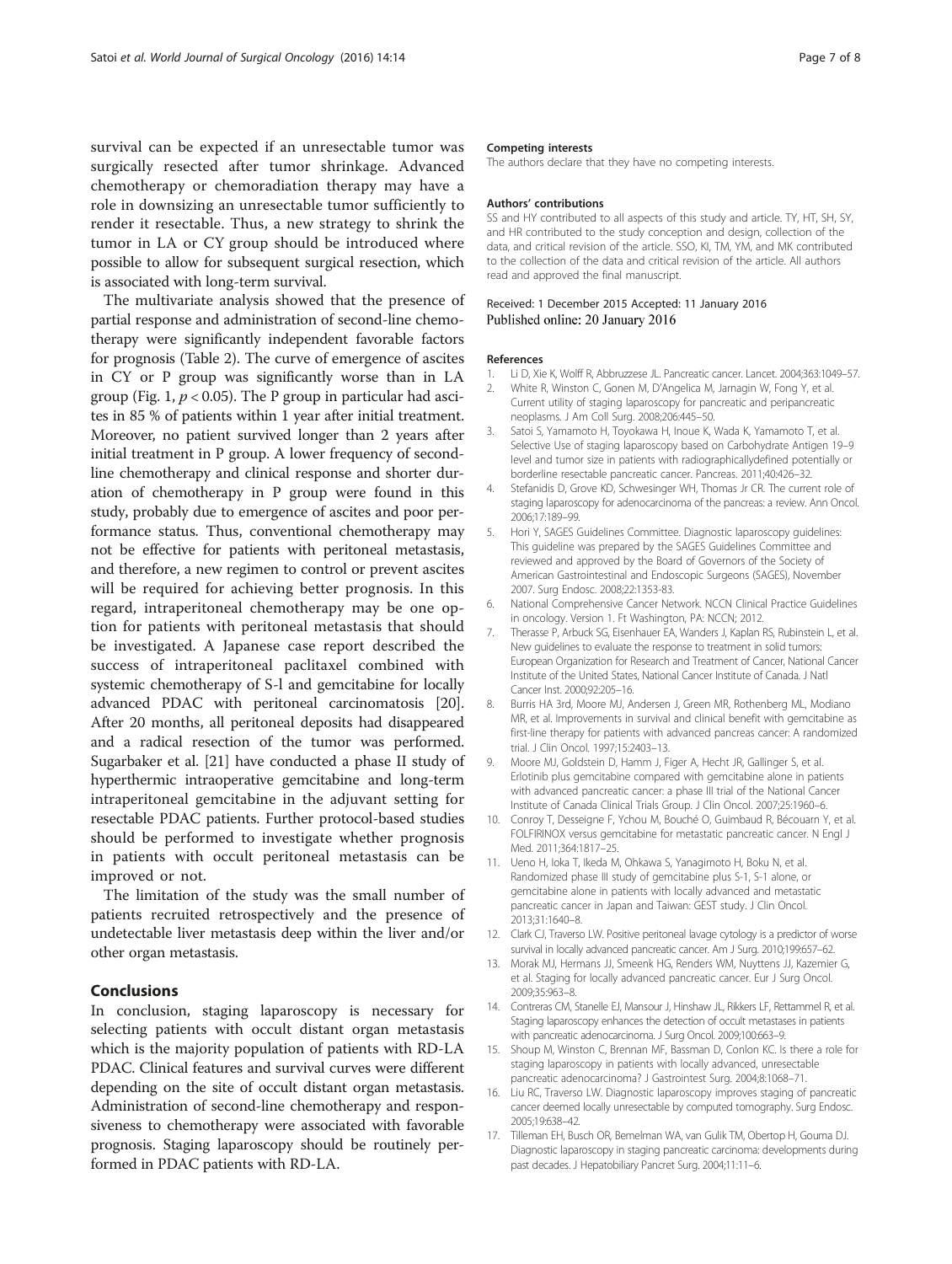<span id="page-6-0"></span>survival can be expected if an unresectable tumor was surgically resected after tumor shrinkage. Advanced chemotherapy or chemoradiation therapy may have a role in downsizing an unresectable tumor sufficiently to render it resectable. Thus, a new strategy to shrink the tumor in LA or CY group should be introduced where possible to allow for subsequent surgical resection, which is associated with long-term survival.

The multivariate analysis showed that the presence of partial response and administration of second-line chemotherapy were significantly independent favorable factors for prognosis (Table [2](#page-5-0)). The curve of emergence of ascites in CY or P group was significantly worse than in LA group (Fig. [1,](#page-3-0)  $p < 0.05$ ). The P group in particular had ascites in 85 % of patients within 1 year after initial treatment. Moreover, no patient survived longer than 2 years after initial treatment in P group. A lower frequency of secondline chemotherapy and clinical response and shorter duration of chemotherapy in P group were found in this study, probably due to emergence of ascites and poor performance status. Thus, conventional chemotherapy may not be effective for patients with peritoneal metastasis, and therefore, a new regimen to control or prevent ascites will be required for achieving better prognosis. In this regard, intraperitoneal chemotherapy may be one option for patients with peritoneal metastasis that should be investigated. A Japanese case report described the success of intraperitoneal paclitaxel combined with systemic chemotherapy of S-l and gemcitabine for locally advanced PDAC with peritoneal carcinomatosis [[20](#page-7-0)]. After 20 months, all peritoneal deposits had disappeared and a radical resection of the tumor was performed. Sugarbaker et al. [\[21\]](#page-7-0) have conducted a phase II study of hyperthermic intraoperative gemcitabine and long-term intraperitoneal gemcitabine in the adjuvant setting for resectable PDAC patients. Further protocol-based studies should be performed to investigate whether prognosis in patients with occult peritoneal metastasis can be improved or not.

The limitation of the study was the small number of patients recruited retrospectively and the presence of undetectable liver metastasis deep within the liver and/or other organ metastasis.

#### Conclusions

In conclusion, staging laparoscopy is necessary for selecting patients with occult distant organ metastasis which is the majority population of patients with RD-LA PDAC. Clinical features and survival curves were different depending on the site of occult distant organ metastasis. Administration of second-line chemotherapy and responsiveness to chemotherapy were associated with favorable prognosis. Staging laparoscopy should be routinely performed in PDAC patients with RD-LA.

#### Competing interests

The authors declare that they have no competing interests.

#### Authors' contributions

SS and HY contributed to all aspects of this study and article. TY, HT, SH, SY, and HR contributed to the study conception and design, collection of the data, and critical revision of the article. SSO, KI, TM, YM, and MK contributed to the collection of the data and critical revision of the article. All authors read and approved the final manuscript.

#### Received: 1 December 2015 Accepted: 11 January 2016 Published online: 20 January 2016

#### References

- 1. Li D, Xie K, Wolff R, Abbruzzese JL. Pancreatic cancer. Lancet. 2004;363:1049–57.
- 2. White R, Winston C, Gonen M, D'Angelica M, Jarnagin W, Fong Y, et al. Current utility of staging laparoscopy for pancreatic and peripancreatic neoplasms. J Am Coll Surg. 2008;206:445–50.
- 3. Satoi S, Yamamoto H, Toyokawa H, Inoue K, Wada K, Yamamoto T, et al. Selective Use of staging laparoscopy based on Carbohydrate Antigen 19–9 level and tumor size in patients with radiographicallydefined potentially or borderline resectable pancreatic cancer. Pancreas. 2011;40:426–32.
- 4. Stefanidis D, Grove KD, Schwesinger WH, Thomas Jr CR. The current role of staging laparoscopy for adenocarcinoma of the pancreas: a review. Ann Oncol. 2006;17:189–99.
- 5. Hori Y, SAGES Guidelines Committee. Diagnostic laparoscopy guidelines: This guideline was prepared by the SAGES Guidelines Committee and reviewed and approved by the Board of Governors of the Society of American Gastrointestinal and Endoscopic Surgeons (SAGES), November 2007. Surg Endosc. 2008;22:1353-83.
- 6. National Comprehensive Cancer Network. NCCN Clinical Practice Guidelines in oncology. Version 1. Ft Washington, PA: NCCN; 2012.
- 7. Therasse P, Arbuck SG, Eisenhauer EA, Wanders J, Kaplan RS, Rubinstein L, et al. New guidelines to evaluate the response to treatment in solid tumors: European Organization for Research and Treatment of Cancer, National Cancer Institute of the United States, National Cancer Institute of Canada. J Natl Cancer Inst. 2000;92:205–16.
- 8. Burris HA 3rd, Moore MJ, Andersen J, Green MR, Rothenberg ML, Modiano MR, et al. Improvements in survival and clinical benefit with gemcitabine as first-line therapy for patients with advanced pancreas cancer: A randomized trial. J Clin Oncol. 1997;15:2403–13.
- 9. Moore MJ, Goldstein D, Hamm J, Figer A, Hecht JR, Gallinger S, et al. Erlotinib plus gemcitabine compared with gemcitabine alone in patients with advanced pancreatic cancer: a phase III trial of the National Cancer Institute of Canada Clinical Trials Group. J Clin Oncol. 2007;25:1960–6.
- 10. Conroy T, Desseigne F, Ychou M, Bouché O, Guimbaud R, Bécouarn Y, et al. FOLFIRINOX versus gemcitabine for metastatic pancreatic cancer. N Engl J Med. 2011;364:1817–25.
- 11. Ueno H, Ioka T, Ikeda M, Ohkawa S, Yanagimoto H, Boku N, et al. Randomized phase III study of gemcitabine plus S-1, S-1 alone, or gemcitabine alone in patients with locally advanced and metastatic pancreatic cancer in Japan and Taiwan: GEST study. J Clin Oncol. 2013;31:1640–8.
- 12. Clark CJ, Traverso LW. Positive peritoneal lavage cytology is a predictor of worse survival in locally advanced pancreatic cancer. Am J Surg. 2010;199:657–62.
- 13. Morak MJ, Hermans JJ, Smeenk HG, Renders WM, Nuyttens JJ, Kazemier G, et al. Staging for locally advanced pancreatic cancer. Eur J Surg Oncol. 2009;35:963–8.
- 14. Contreras CM, Stanelle EJ, Mansour J, Hinshaw JL, Rikkers LF, Rettammel R, et al. Staging laparoscopy enhances the detection of occult metastases in patients with pancreatic adenocarcinoma. J Surg Oncol. 2009;100:663–9.
- 15. Shoup M, Winston C, Brennan MF, Bassman D, Conlon KC. Is there a role for staging laparoscopy in patients with locally advanced, unresectable pancreatic adenocarcinoma? J Gastrointest Surg. 2004;8:1068–71.
- 16. Liu RC, Traverso LW. Diagnostic laparoscopy improves staging of pancreatic cancer deemed locally unresectable by computed tomography. Surg Endosc. 2005;19:638–42.
- 17. Tilleman EH, Busch OR, Bemelman WA, van Gulik TM, Obertop H, Gouma DJ. Diagnostic laparoscopy in staging pancreatic carcinoma: developments during past decades. J Hepatobiliary Pancret Surg. 2004;11:11–6.